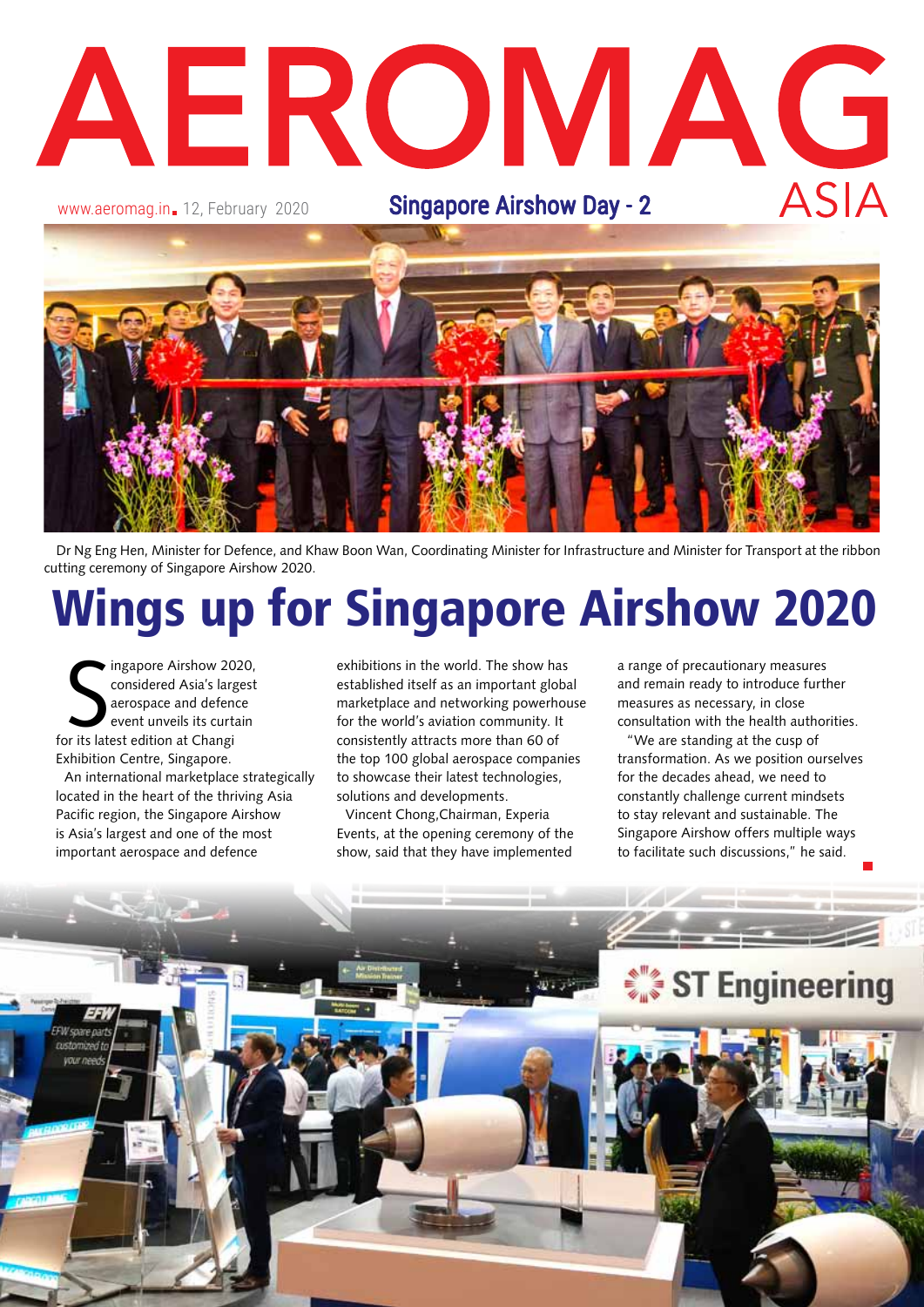# AEROMAG **ASIA**

www.aeromag.in. 12, February 2020 **Singapore Airshow Day - 2** 



 Dr Ng Eng Hen, Minister for Defence, and Khaw Boon Wan, Coordinating Minister for Infrastructure and Minister for Transport at the ribbon cutting ceremony of Singapore Airshow 2020.

# Wings up for Singapore Airshow 2020

Imgapore Airshow 20<br>
considered Asia's large<br>
aerospace and defend<br>
event unveils its curtains<br>
for its latest edition at Changi ingapore Airshow 2020, considered Asia's largest aerospace and defence event unveils its curtain Exhibition Centre, Singapore. An international marketplace strategically located in the heart of the thriving Asia Pacific region, the Singapore Airshow is Asia's largest and one of the most important aerospace and defence

EFW spare L **VOUT need**  exhibitions in the world. The show has established itself as an important global marketplace and networking powerhouse for the world's aviation community. It consistently attracts more than 60 of the top 100 global aerospace companies to showcase their latest technologies, solutions and developments.

Vincent Chong,Chairman, Experia Events, at the opening ceremony of the show, said that they have implemented

a range of precautionary measures and remain ready to introduce further measures as necessary, in close consultation with the health authorities.

"We are standing at the cusp of transformation. As we position ourselves for the decades ahead, we need to constantly challenge current mindsets to stay relevant and sustainable. The Singapore Airshow offers multiple ways to facilitate such discussions," he said.

ST Engineering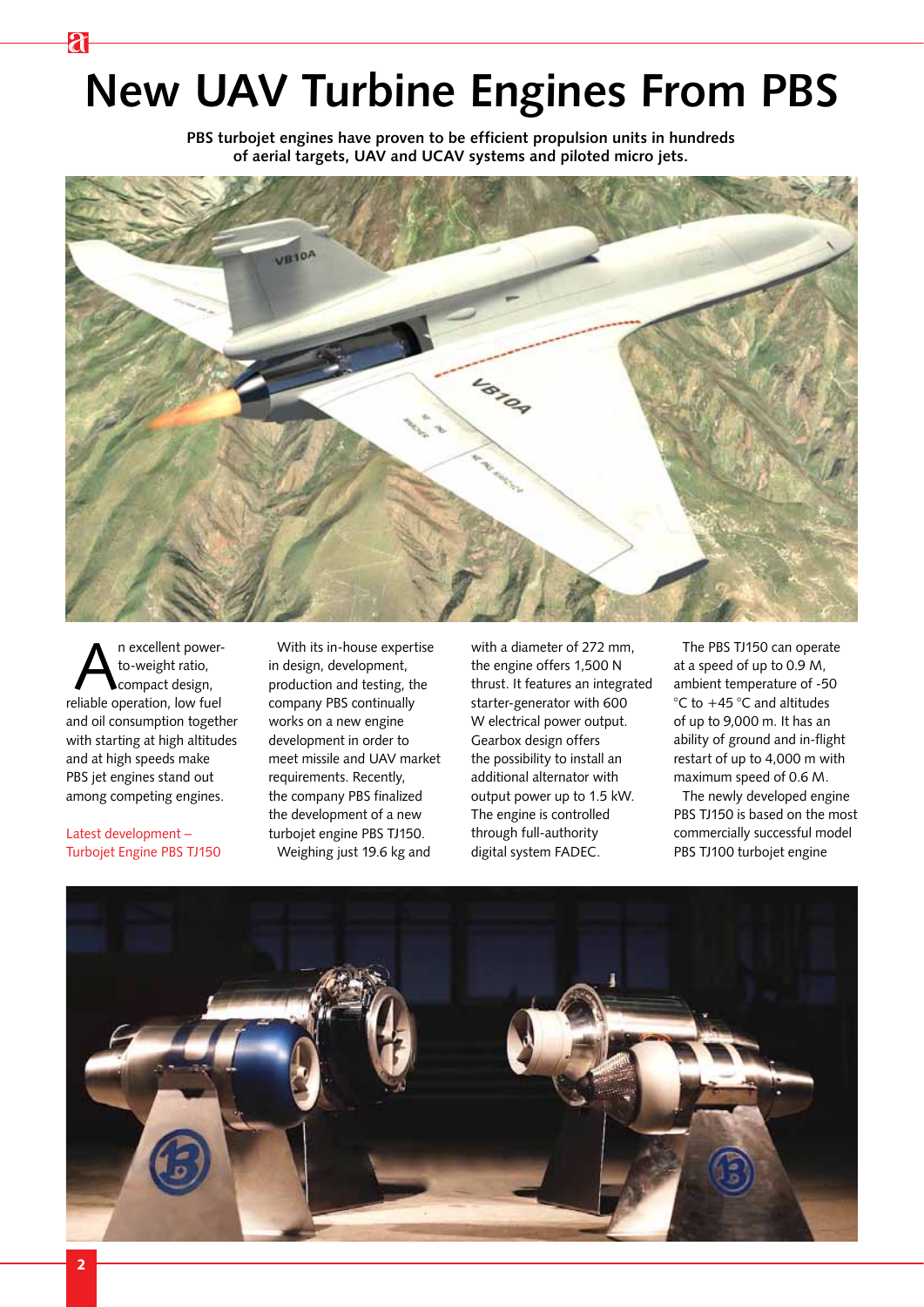# **New Uav Turbine Engines From Pbs**

**PBS turbojet engines have proven to be efficient propulsion units in hundreds of aerial targets, UAV and UCAV systems and piloted micro jets.**



n excellent powerto-weight ratio, compact design, reliable operation, low fuel and oil consumption together with starting at high altitudes and at high speeds make PBS jet engines stand out among competing engines.

R

Latest development – Turbojet Engine PBS TJ150

With its in-house expertise in design, development, production and testing, the company PBS continually works on a new engine development in order to meet missile and UAV market requirements. Recently, the company PBS finalized the development of a new turbojet engine PBS TJ150. Weighing just 19.6 kg and

with a diameter of 272 mm, the engine offers 1,500 N thrust. It features an integrated starter-generator with 600 W electrical power output. Gearbox design offers the possibility to install an additional alternator with output power up to 1.5 kW. The engine is controlled through full-authority digital system FADEC.

The PBS TJ150 can operate at a speed of up to 0.9 M, ambient temperature of -50 °C to +45 °C and altitudes of up to 9,000 m. It has an ability of ground and in-flight restart of up to 4,000 m with maximum speed of 0.6 M.

The newly developed engine PBS TJ150 is based on the most commercially successful model PBS TJ100 turbojet engine

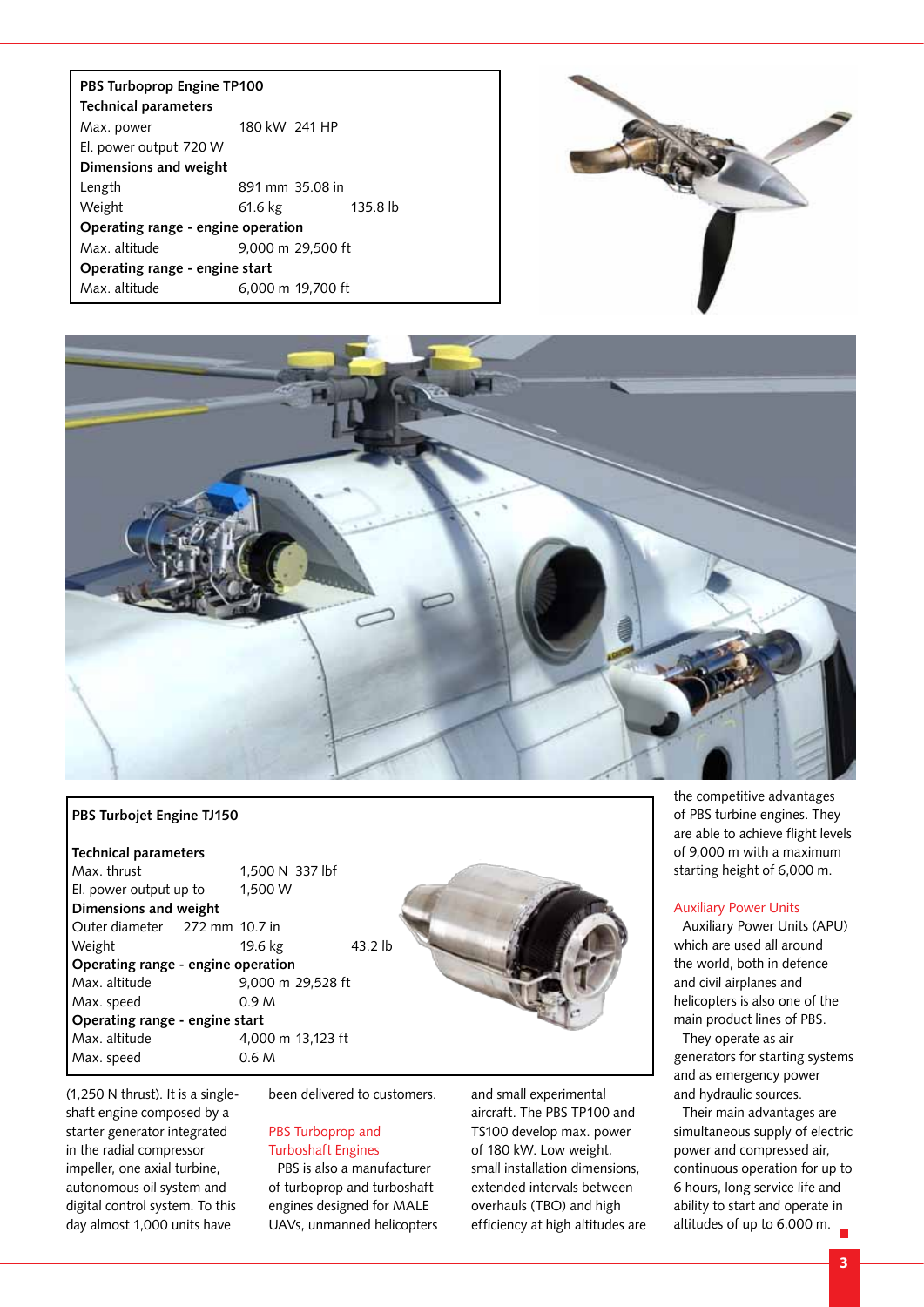**PBS Turboprop Engine TP100 Technical parameters** Max. power 180 kW 241 HP El. power output 720 W **Dimensions and weight** Length 891 mm 35.08 in Weight 61.6 kg 135.8 lb **Operating range - engine operation** Max. altitude 9,000 m 29,500 ft **Operating range - engine start** Max. altitude 6,000 m 19,700 ft





#### **PBS Turbojet Engine TJ150**

#### **Technical parameters**

Max. thrust 1,500 N 337 lbf El. power output up to 1,500 W **Dimensions and weight** Outer diameter 272 mm 10.7 in Weight 19.6 kg 43.2 lb **Operating range - engine operation** Max. altitude 9,000 m 29,528 ft Max. speed 0.9 M **Operating range - engine start** Max. altitude 4,000 m 13,123 ft Max. speed 0.6 M

(1,250 N thrust). It is a singleshaft engine composed by a starter generator integrated in the radial compressor impeller, one axial turbine, autonomous oil system and digital control system. To this day almost 1,000 units have

been delivered to customers.

#### PBS Turboprop and Turboshaft Engines

PBS is also a manufacturer of turboprop and turboshaft engines designed for MALE UAVs, unmanned helicopters and small experimental aircraft. The PBS TP100 and TS100 develop max. power of 180 kW. Low weight, small installation dimensions, extended intervals between overhauls (TBO) and high efficiency at high altitudes are the competitive advantages of PBS turbine engines. They are able to achieve flight levels of 9,000 m with a maximum starting height of 6,000 m.

#### Auxiliary Power Units

Auxiliary Power Units (APU) which are used all around the world, both in defence and civil airplanes and helicopters is also one of the main product lines of PBS.

They operate as air generators for starting systems and as emergency power and hydraulic sources.

Their main advantages are simultaneous supply of electric power and compressed air, continuous operation for up to 6 hours, long service life and ability to start and operate in altitudes of up to 6,000 m.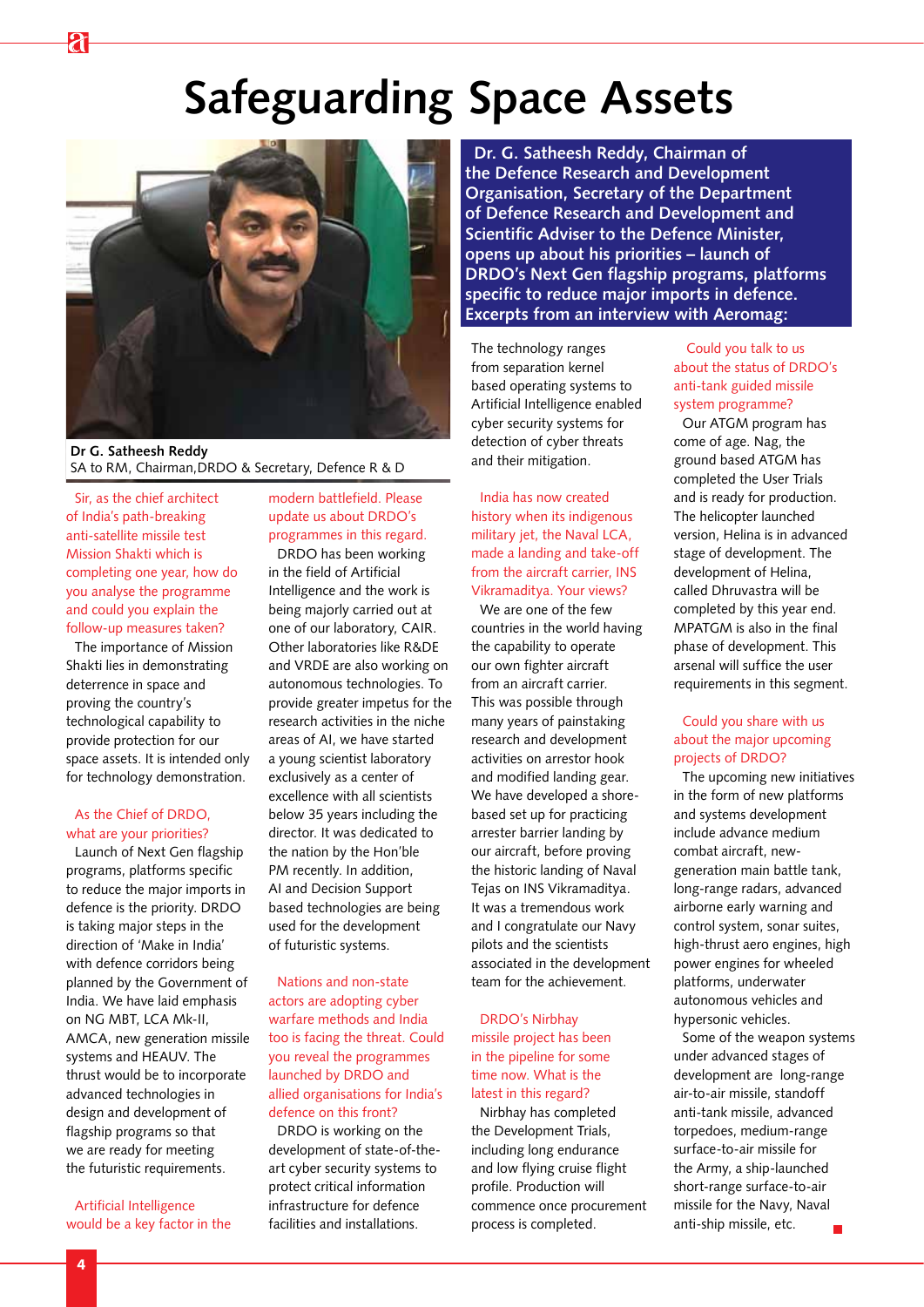# **Safeguarding Space Assets**



**Dr G. Satheesh Reddy** SA to RM, Chairman, DRDO & Secretary, Defence R & D

Sir, as the chief architect of India's path-breaking anti-satellite missile test Mission Shakti which is completing one year, how do you analyse the programme and could you explain the follow-up measures taken?

ส

The importance of Mission Shakti lies in demonstrating deterrence in space and proving the country's technological capability to provide protection for our space assets. It is intended only for technology demonstration.

#### As the Chief of DRDO, what are your priorities?

Launch of Next Gen flagship programs, platforms specific to reduce the major imports in defence is the priority. DRDO is taking major steps in the direction of 'Make in India' with defence corridors being planned by the Government of India. We have laid emphasis on NG MBT, LCA Mk-II, AMCA, new generation missile systems and HEAUV. The thrust would be to incorporate advanced technologies in design and development of flagship programs so that we are ready for meeting the futuristic requirements.

Artificial Intelligence would be a key factor in the

#### modern battlefield. Please update us about DRDO's programmes in this regard.

DRDO has been working in the field of Artificial Intelligence and the work is being majorly carried out at one of our laboratory, CAIR. Other laboratories like R&DE and VRDE are also working on autonomous technologies. To provide greater impetus for the research activities in the niche areas of AI, we have started a young scientist laboratory exclusively as a center of excellence with all scientists below 35 years including the director. It was dedicated to the nation by the Hon'ble PM recently. In addition, AI and Decision Support based technologies are being used for the development of futuristic systems.

#### Nations and non-state actors are adopting cyber warfare methods and India too is facing the threat. Could you reveal the programmes launched by DRDO and allied organisations for India's defence on this front?

DRDO is working on the development of state-of-theart cyber security systems to protect critical information infrastructure for defence facilities and installations.

**Dr. G. Satheesh Reddy, Chairman of the Defence Research and Development Organisation, Secretary of the Department of Defence Research and Development and Scientific Adviser to the Defence Minister, opens up about his priorities – launch of DRDO's Next Gen flagship programs, platforms specific to reduce major imports in defence. Excerpts from an interview with Aeromag:**

The technology ranges from separation kernel based operating systems to Artificial Intelligence enabled cyber security systems for detection of cyber threats and their mitigation.

India has now created history when its indigenous military jet, the Naval LCA, made a landing and take-off from the aircraft carrier, INS Vikramaditya. Your views?

We are one of the few countries in the world having the capability to operate our own fighter aircraft from an aircraft carrier. This was possible through many years of painstaking research and development activities on arrestor hook and modified landing gear. We have developed a shorebased set up for practicing arrester barrier landing by our aircraft, before proving the historic landing of Naval Tejas on INS Vikramaditya. It was a tremendous work and I congratulate our Navy pilots and the scientists associated in the development team for the achievement.

#### DRDO's Nirbhay missile project has been in the pipeline for some time now. What is the latest in this regard?

Nirbhay has completed the Development Trials, including long endurance and low flying cruise flight profile. Production will commence once procurement process is completed.

 Could you talk to us about the status of DRDO's anti-tank guided missile system programme?

Our ATGM program has come of age. Nag, the ground based ATGM has completed the User Trials and is ready for production. The helicopter launched version, Helina is in advanced stage of development. The development of Helina, called Dhruvastra will be completed by this year end. MPATGM is also in the final phase of development. This arsenal will suffice the user requirements in this segment.

#### Could you share with us about the major upcoming projects of DRDO?

The upcoming new initiatives in the form of new platforms and systems development include advance medium combat aircraft, newgeneration main battle tank, long-range radars, advanced airborne early warning and control system, sonar suites, high-thrust aero engines, high power engines for wheeled platforms, underwater autonomous vehicles and hypersonic vehicles.

Some of the weapon systems under advanced stages of development are long-range air-to-air missile, standoff anti-tank missile, advanced torpedoes, medium-range surface-to-air missile for the Army, a ship-launched short-range surface-to-air missile for the Navy, Naval anti-ship missile, etc.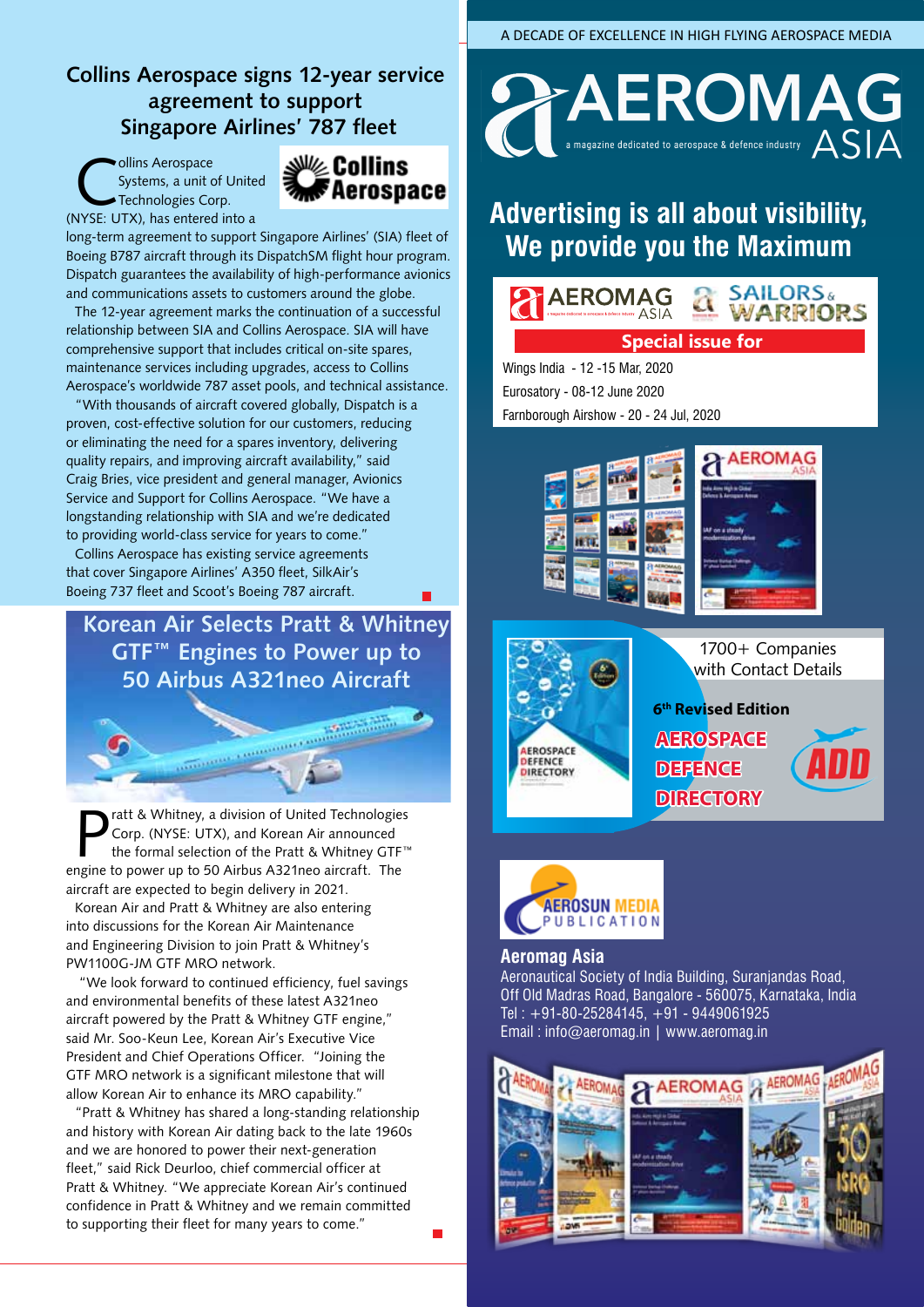**Collins Aerospace signs 12-year service agreement to support Singapore Airlines' 787 fleet**

Collins Aerospace<br>Systems, a unit of<br>Technologies Co Systems, a unit of United Technologies Corp. (NYSE: UTX), has entered into a



long-term agreement to support Singapore Airlines' (SIA) fleet of Boeing B787 aircraft through its DispatchSM flight hour program. Dispatch guarantees the availability of high-performance avionics and communications assets to customers around the globe.

The 12-year agreement marks the continuation of a successful relationship between SIA and Collins Aerospace. SIA will have comprehensive support that includes critical on-site spares, maintenance services including upgrades, access to Collins Aerospace's worldwide 787 asset pools, and technical assistance.

"With thousands of aircraft covered globally, Dispatch is a proven, cost-effective solution for our customers, reducing or eliminating the need for a spares inventory, delivering quality repairs, and improving aircraft availability," said Craig Bries, vice president and general manager, Avionics Service and Support for Collins Aerospace. "We have a longstanding relationship with SIA and we're dedicated to providing world-class service for years to come."

Collins Aerospace has existing service agreements that cover Singapore Airlines' A350 fleet, SilkAir's Boeing 737 fleet and Scoot's Boeing 787 aircraft.

**Korean Air Selects Pratt & Whitney GTF™ Engines to Power up to 50 Airbus A321neo Aircraft**

amonome community model

P ratt & Whitney, a division of United Technologies Corp. (NYSE: UTX), and Korean Air announced the formal selection of the Pratt & Whitney GTF™ engine to power up to 50 Airbus A321neo aircraft. The aircraft are expected to begin delivery in 2021.

Korean Air and Pratt & Whitney are also entering into discussions for the Korean Air Maintenance and Engineering Division to join Pratt & Whitney's PW1100G-JM GTF MRO network.

 "We look forward to continued efficiency, fuel savings and environmental benefits of these latest A321neo aircraft powered by the Pratt & Whitney GTF engine," said Mr. Soo-Keun Lee, Korean Air's Executive Vice President and Chief Operations Officer. "Joining the GTF MRO network is a significant milestone that will allow Korean Air to enhance its MRO capability."

"Pratt & Whitney has shared a long-standing relationship and history with Korean Air dating back to the late 1960s and we are honored to power their next-generation fleet," said Rick Deurloo, chief commercial officer at Pratt & Whitney. "We appreciate Korean Air's continued confidence in Pratt & Whitney and we remain committed to supporting their fleet for many years to come."

A DECADE OF EXCELLENCE IN HIGH FLYING AEROSPACE MEDIA



## **Advertising is all about visibility, We provide you the Maximum**

**SAILORS** & **AEROMAG** WARRIORS

#### **Special issue for**

Wings India - 12 -15 Mar, 2020 Eurosatory - 08-12 June 2020 Farnborough Airshow - 20 - 24 Jul, 2020









#### **Aeromag Asia**

Aeronautical Society of India Building, Suranjandas Road, Off Old Madras Road, Bangalore - 560075, Karnataka, India Tel : +91-80-25284145, +91 - 9449061925 Email : info@aeromag.in | www.aeromag.in

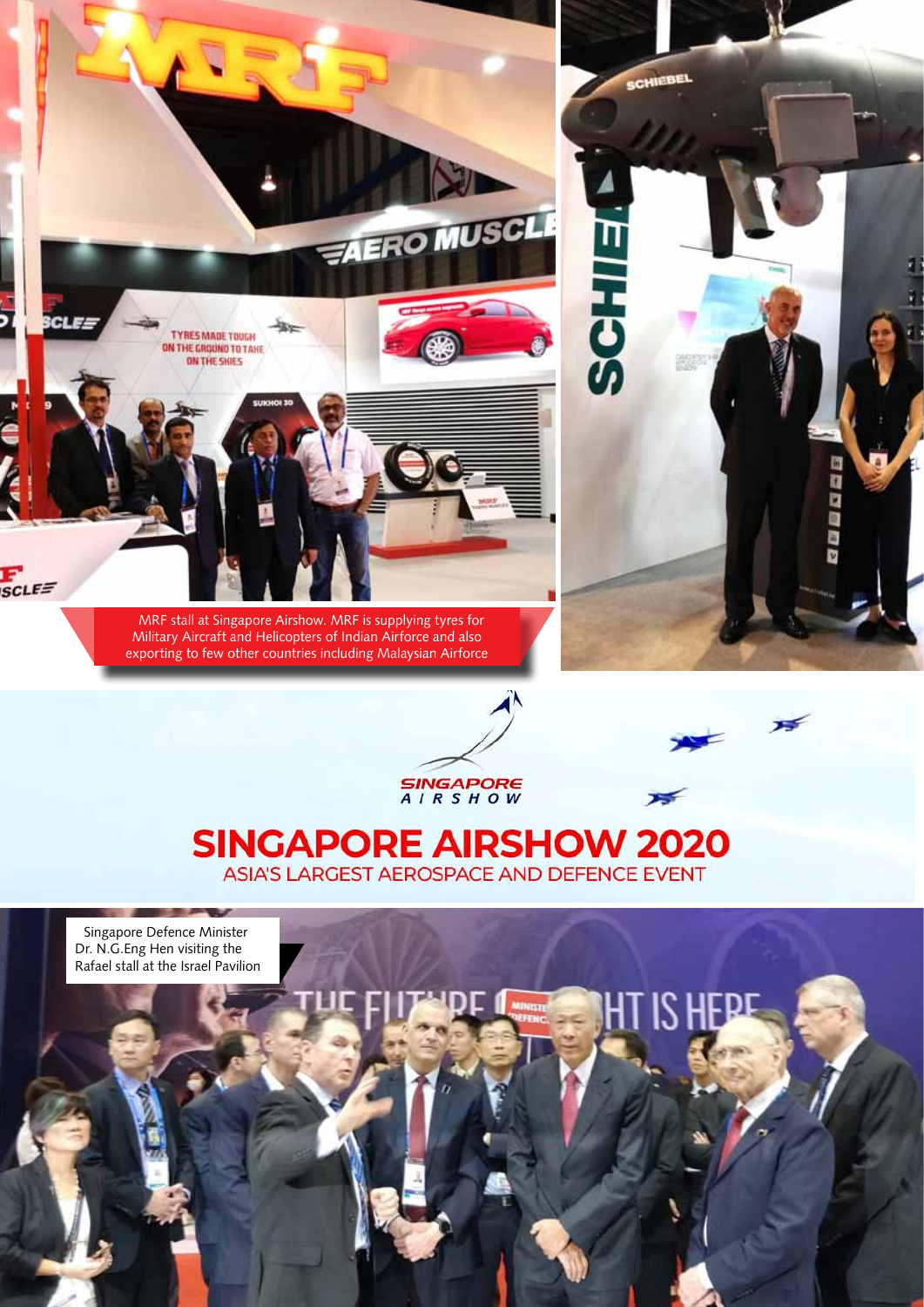



 $\overline{r}$ 

芳

SINGAPORE

### **SINGAPORE AIRSHOW 2020** ASIA'S LARGEST AEROSPACE AND DEFENCE EVENT

Singapore Defence Minister Dr. N.G.Eng Hen visiting the Rafael stall at the Israel Pavilion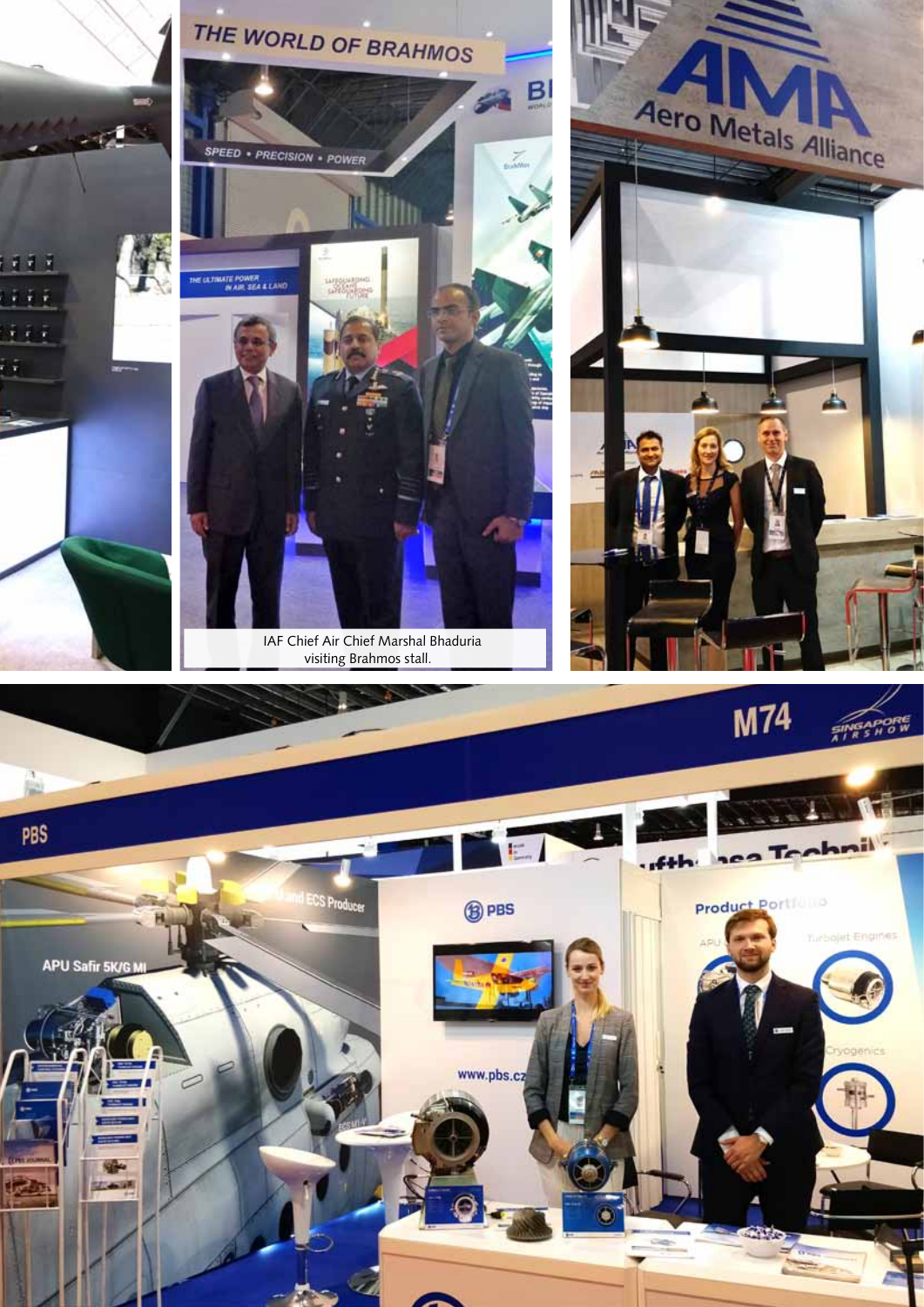